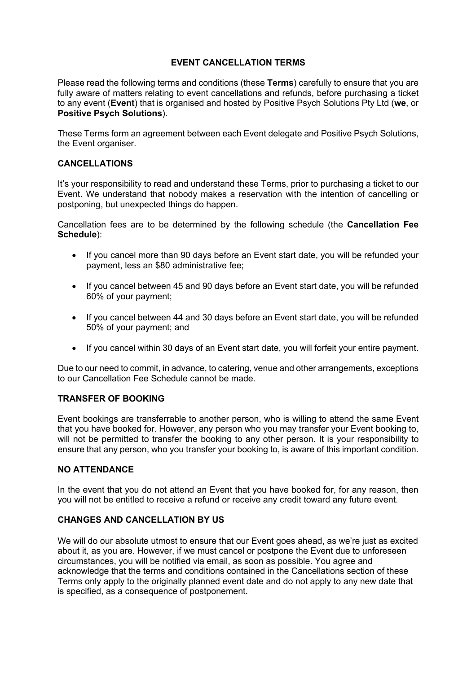# **EVENT CANCELLATION TERMS**

Please read the following terms and conditions (these **Terms**) carefully to ensure that you are fully aware of matters relating to event cancellations and refunds, before purchasing a ticket to any event (**Event**) that is organised and hosted by Positive Psych Solutions Pty Ltd (**we**, or **Positive Psych Solutions**).

These Terms form an agreement between each Event delegate and Positive Psych Solutions, the Event organiser.

### **CANCELLATIONS**

It's your responsibility to read and understand these Terms, prior to purchasing a ticket to our Event. We understand that nobody makes a reservation with the intention of cancelling or postponing, but unexpected things do happen.

Cancellation fees are to be determined by the following schedule (the **Cancellation Fee Schedule**):

- If you cancel more than 90 days before an Event start date, you will be refunded your payment, less an \$80 administrative fee;
- If you cancel between 45 and 90 days before an Event start date, you will be refunded 60% of your payment;
- If you cancel between 44 and 30 days before an Event start date, you will be refunded 50% of your payment; and
- If you cancel within 30 days of an Event start date, you will forfeit your entire payment.

Due to our need to commit, in advance, to catering, venue and other arrangements, exceptions to our Cancellation Fee Schedule cannot be made.

### **TRANSFER OF BOOKING**

Event bookings are transferrable to another person, who is willing to attend the same Event that you have booked for. However, any person who you may transfer your Event booking to, will not be permitted to transfer the booking to any other person. It is your responsibility to ensure that any person, who you transfer your booking to, is aware of this important condition.

# **NO ATTENDANCE**

In the event that you do not attend an Event that you have booked for, for any reason, then you will not be entitled to receive a refund or receive any credit toward any future event.

# **CHANGES AND CANCELLATION BY US**

We will do our absolute utmost to ensure that our Event goes ahead, as we're just as excited about it, as you are. However, if we must cancel or postpone the Event due to unforeseen circumstances, you will be notified via email, as soon as possible. You agree and acknowledge that the terms and conditions contained in the Cancellations section of these Terms only apply to the originally planned event date and do not apply to any new date that is specified, as a consequence of postponement.